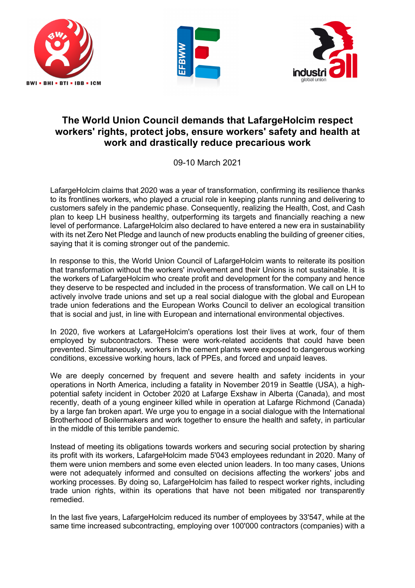





## **The World Union Council demands that LafargeHolcim respect workers' rights, protect jobs, ensure workers' safety and health at work and drastically reduce precarious work**

09-10 March 2021

LafargeHolcim claims that 2020 was a year of transformation, confirming its resilience thanks to its frontlines workers, who played a crucial role in keeping plants running and delivering to customers safely in the pandemic phase. Consequently, realizing the Health, Cost, and Cash plan to keep LH business healthy, outperforming its targets and financially reaching a new level of performance. LafargeHolcim also declared to have entered a new era in sustainability with its net Zero Net Pledge and launch of new products enabling the building of greener cities. saying that it is coming stronger out of the pandemic.

In response to this, the World Union Council of LafargeHolcim wants to reiterate its position that transformation without the workers' involvement and their Unions is not sustainable. It is the workers of LafargeHolcim who create profit and development for the company and hence they deserve to be respected and included in the process of transformation. We call on LH to actively involve trade unions and set up a real social dialogue with the global and European trade union federations and the European Works Council to deliver an ecological transition that is social and just, in line with European and international environmental objectives.

In 2020, five workers at LafargeHolcim's operations lost their lives at work, four of them employed by subcontractors. These were work-related accidents that could have been prevented. Simultaneously, workers in the cement plants were exposed to dangerous working conditions, excessive working hours, lack of PPEs, and forced and unpaid leaves.

We are deeply concerned by frequent and severe health and safety incidents in your operations in North America, including a fatality in November 2019 in Seattle (USA), a highpotential safety incident in October 2020 at Lafarge Exshaw in Alberta (Canada), and most recently, death of a young engineer killed while in operation at Lafarge Richmond (Canada) by a large fan broken apart. We urge you to engage in a social dialogue with the International Brotherhood of Boilermakers and work together to ensure the health and safety, in particular in the middle of this terrible pandemic.

Instead of meeting its obligations towards workers and securing social protection by sharing its profit with its workers, LafargeHolcim made 5'043 employees redundant in 2020. Many of them were union members and some even elected union leaders. In too many cases, Unions were not adequately informed and consulted on decisions affecting the workers' jobs and working processes. By doing so, LafargeHolcim has failed to respect worker rights, including trade union rights, within its operations that have not been mitigated nor transparently remedied.

In the last five years, LafargeHolcim reduced its number of employees by 33'547, while at the same time increased subcontracting, employing over 100'000 contractors (companies) with a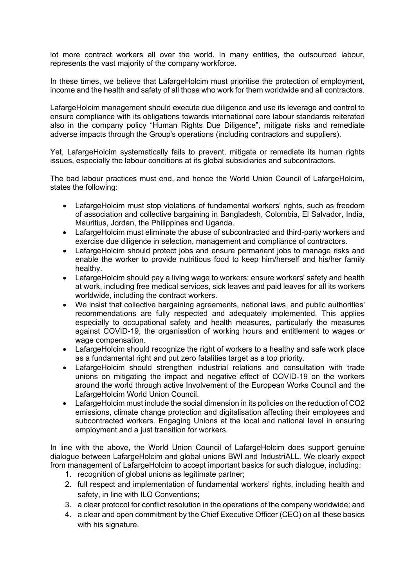lot more contract workers all over the world. In many entities, the outsourced labour, represents the vast majority of the company workforce.

In these times, we believe that LafargeHolcim must prioritise the protection of employment. income and the health and safety of all those who work for them worldwide and all contractors.

LafargeHolcim management should execute due diligence and use its leverage and control to ensure compliance with its obligations towards international core labour standards reiterated also in the company policy "Human Rights Due Diligence", mitigate risks and remediate adverse impacts through the Group's operations (including contractors and suppliers).

Yet, LafargeHolcim systematically fails to prevent, mitigate or remediate its human rights issues, especially the labour conditions at its global subsidiaries and subcontractors.

The bad labour practices must end, and hence the World Union Council of LafargeHolcim, states the following:

- LafargeHolcim must stop violations of fundamental workers' rights, such as freedom of association and collective bargaining in Bangladesh, Colombia, El Salvador, India, Mauritius, Jordan, the Philippines and Uganda.
- LafargeHolcim must eliminate the abuse of subcontracted and third-party workers and exercise due diligence in selection, management and compliance of contractors.
- LafargeHolcim should protect jobs and ensure permanent jobs to manage risks and enable the worker to provide nutritious food to keep him/herself and his/her family healthy.
- LafargeHolcim should pay a living wage to workers; ensure workers' safety and health at work, including free medical services, sick leaves and paid leaves for all its workers worldwide, including the contract workers.
- We insist that collective bargaining agreements, national laws, and public authorities' recommendations are fully respected and adequately implemented. This applies especially to occupational safety and health measures, particularly the measures against COVID-19, the organisation of working hours and entitlement to wages or wage compensation.
- LafargeHolcim should recognize the right of workers to a healthy and safe work place as a fundamental right and put zero fatalities target as a top priority.
- LafargeHolcim should strengthen industrial relations and consultation with trade unions on mitigating the impact and negative effect of COVID-19 on the workers around the world through active Involvement of the European Works Council and the LafargeHolcim World Union Council.
- LafargeHolcim must include the social dimension in its policies on the reduction of CO2 emissions, climate change protection and digitalisation affecting their employees and subcontracted workers. Engaging Unions at the local and national level in ensuring employment and a just transition for workers.

In line with the above, the World Union Council of LafargeHolcim does support genuine dialogue between LafargeHolcim and global unions BWI and IndustriALL. We clearly expect from management of LafargeHolcim to accept important basics for such dialogue, including:

- 1. recognition of global unions as legitimate partner;
- 2. full respect and implementation of fundamental workers' rights, including health and safety, in line with ILO Conventions;
- 3. a clear protocol for conflict resolution in the operations of the company worldwide; and
- 4. a clear and open commitment by the Chief Executive Officer (CEO) on all these basics with his signature.